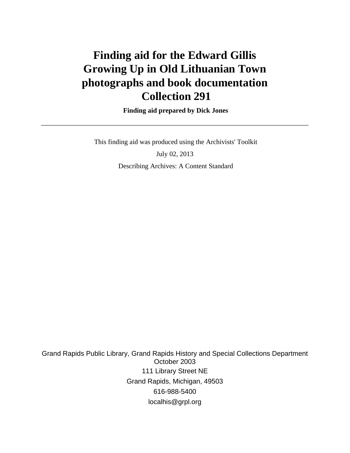# **Finding aid for the Edward Gillis Growing Up in Old Lithuanian Town photographs and book documentation Collection 291**

 **Finding aid prepared by Dick Jones**

 This finding aid was produced using the Archivists' Toolkit July 02, 2013 Describing Archives: A Content Standard

Grand Rapids Public Library, Grand Rapids History and Special Collections Department October 2003 111 Library Street NE Grand Rapids, Michigan, 49503 616-988-5400 localhis@grpl.org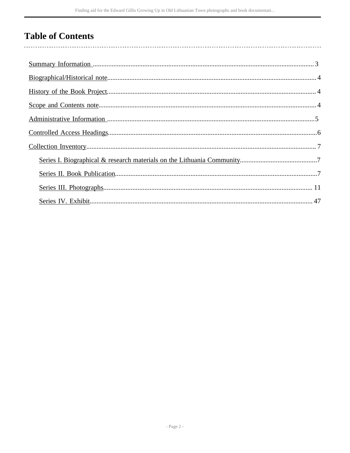## **Table of Contents**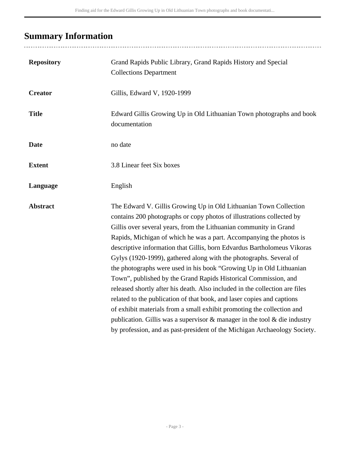# <span id="page-2-0"></span>**Summary Information**

..................

| <b>Repository</b> | Grand Rapids Public Library, Grand Rapids History and Special<br><b>Collections Department</b>                                                                                                                                                                                                                                                                                                                                                                                                                                                                                                                                                                                                                                                                                                                                                                                                                                                                                       |
|-------------------|--------------------------------------------------------------------------------------------------------------------------------------------------------------------------------------------------------------------------------------------------------------------------------------------------------------------------------------------------------------------------------------------------------------------------------------------------------------------------------------------------------------------------------------------------------------------------------------------------------------------------------------------------------------------------------------------------------------------------------------------------------------------------------------------------------------------------------------------------------------------------------------------------------------------------------------------------------------------------------------|
| <b>Creator</b>    | Gillis, Edward V, 1920-1999                                                                                                                                                                                                                                                                                                                                                                                                                                                                                                                                                                                                                                                                                                                                                                                                                                                                                                                                                          |
| <b>Title</b>      | Edward Gillis Growing Up in Old Lithuanian Town photographs and book<br>documentation                                                                                                                                                                                                                                                                                                                                                                                                                                                                                                                                                                                                                                                                                                                                                                                                                                                                                                |
| <b>Date</b>       | no date                                                                                                                                                                                                                                                                                                                                                                                                                                                                                                                                                                                                                                                                                                                                                                                                                                                                                                                                                                              |
| <b>Extent</b>     | 3.8 Linear feet Six boxes                                                                                                                                                                                                                                                                                                                                                                                                                                                                                                                                                                                                                                                                                                                                                                                                                                                                                                                                                            |
| Language          | English                                                                                                                                                                                                                                                                                                                                                                                                                                                                                                                                                                                                                                                                                                                                                                                                                                                                                                                                                                              |
| <b>Abstract</b>   | The Edward V. Gillis Growing Up in Old Lithuanian Town Collection<br>contains 200 photographs or copy photos of illustrations collected by<br>Gillis over several years, from the Lithuanian community in Grand<br>Rapids, Michigan of which he was a part. Accompanying the photos is<br>descriptive information that Gillis, born Edvardus Bartholomeus Vikoras<br>Gylys (1920-1999), gathered along with the photographs. Several of<br>the photographs were used in his book "Growing Up in Old Lithuanian<br>Town", published by the Grand Rapids Historical Commission, and<br>released shortly after his death. Also included in the collection are files<br>related to the publication of that book, and laser copies and captions<br>of exhibit materials from a small exhibit promoting the collection and<br>publication. Gillis was a supervisor $\&$ manager in the tool $\&$ die industry<br>by profession, and as past-president of the Michigan Archaeology Society. |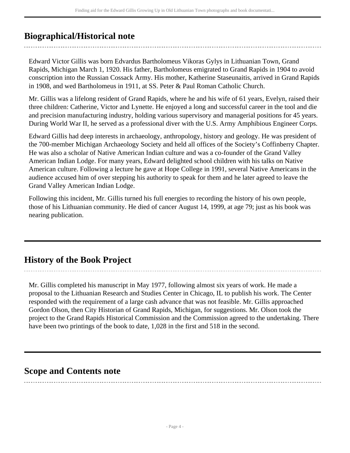## <span id="page-3-0"></span>**Biographical/Historical note**

Edward Victor Gillis was born Edvardus Bartholomeus Vikoras Gylys in Lithuanian Town, Grand Rapids, Michigan March 1, 1920. His father, Bartholomeus emigrated to Grand Rapids in 1904 to avoid conscription into the Russian Cossack Army. His mother, Katherine Staseunaitis, arrived in Grand Rapids in 1908, and wed Bartholomeus in 1911, at SS. Peter & Paul Roman Catholic Church.

Mr. Gillis was a lifelong resident of Grand Rapids, where he and his wife of 61 years, Evelyn, raised their three children: Catherine, Victor and Lynette. He enjoyed a long and successful career in the tool and die and precision manufacturing industry, holding various supervisory and managerial positions for 45 years. During World War II, he served as a professional diver with the U.S. Army Amphibious Engineer Corps.

Edward Gillis had deep interests in archaeology, anthropology, history and geology. He was president of the 700-member Michigan Archaeology Society and held all offices of the Society's Coffinberry Chapter. He was also a scholar of Native American Indian culture and was a co-founder of the Grand Valley American Indian Lodge. For many years, Edward delighted school children with his talks on Native American culture. Following a lecture he gave at Hope College in 1991, several Native Americans in the audience accused him of over stepping his authority to speak for them and he later agreed to leave the Grand Valley American Indian Lodge.

Following this incident, Mr. Gillis turned his full energies to recording the history of his own people, those of his Lithuanian community. He died of cancer August 14, 1999, at age 79; just as his book was nearing publication.

## <span id="page-3-1"></span>**History of the Book Project**

Mr. Gillis completed his manuscript in May 1977, following almost six years of work. He made a proposal to the Lithuanian Research and Studies Center in Chicago, IL to publish his work. The Center responded with the requirement of a large cash advance that was not feasible. Mr. Gillis approached Gordon Olson, then City Historian of Grand Rapids, Michigan, for suggestions. Mr. Olson took the project to the Grand Rapids Historical Commission and the Commission agreed to the undertaking. There have been two printings of the book to date, 1,028 in the first and 518 in the second.

## <span id="page-3-2"></span>**Scope and Contents note**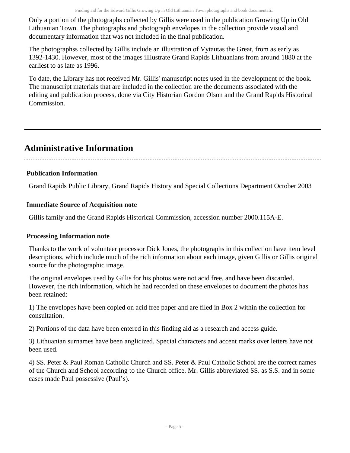Only a portion of the photographs collected by Gillis were used in the publication Growing Up in Old Lithuanian Town. The photographs and photograph envelopes in the collection provide visual and documentary information that was not included in the final publication.

The photographss collected by Gillis include an illustration of Vytautas the Great, from as early as 1392-1430. However, most of the images illlustrate Grand Rapids Lithuanians from around 1880 at the earliest to as late as 1996.

To date, the Library has not received Mr. Gillis' manuscript notes used in the development of the book. The manuscript materials that are included in the collection are the documents associated with the editing and publication process, done via City Historian Gordon Olson and the Grand Rapids Historical Commission.

## <span id="page-4-0"></span>**Administrative Information**

## **Publication Information**

Grand Rapids Public Library, Grand Rapids History and Special Collections Department October 2003

## **Immediate Source of Acquisition note**

Gillis family and the Grand Rapids Historical Commission, accession number 2000.115A-E.

### **Processing Information note**

Thanks to the work of volunteer processor Dick Jones, the photographs in this collection have item level descriptions, which include much of the rich information about each image, given Gillis or Gillis original source for the photographic image.

The original envelopes used by Gillis for his photos were not acid free, and have been discarded. However, the rich information, which he had recorded on these envelopes to document the photos has been retained:

1) The envelopes have been copied on acid free paper and are filed in Box 2 within the collection for consultation.

2) Portions of the data have been entered in this finding aid as a research and access guide.

3) Lithuanian surnames have been anglicized. Special characters and accent marks over letters have not been used.

4) SS. Peter & Paul Roman Catholic Church and SS. Peter & Paul Catholic School are the correct names of the Church and School according to the Church office. Mr. Gillis abbreviated SS. as S.S. and in some cases made Paul possessive (Paul's).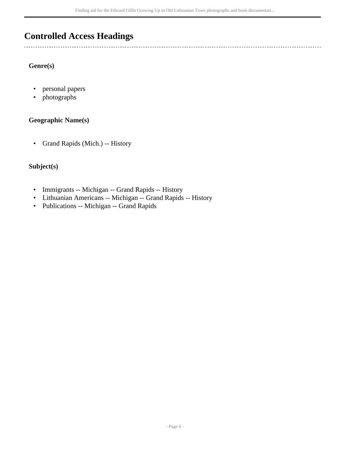## <span id="page-5-0"></span>**Controlled Access Headings**

### **Genre(s)**

 $\overline{a}$ 

- personal papers
- photographs

#### **Geographic Name(s)**

• Grand Rapids (Mich.) -- History

### **Subject(s)**

- Immigrants -- Michigan -- Grand Rapids -- History
- Lithuanian Americans -- Michigan -- Grand Rapids -- History
- Publications -- Michigan -- Grand Rapids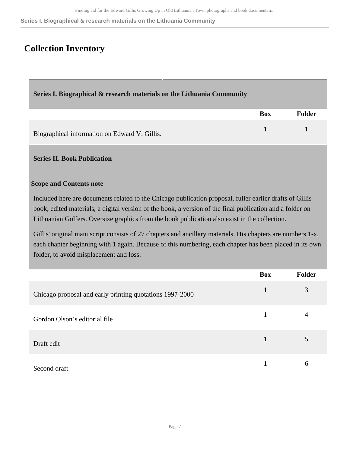**Series I. Biographical & research materials on the Lithuania Community**

## <span id="page-6-0"></span>**Collection Inventory**

### <span id="page-6-1"></span>**Series I. Biographical & research materials on the Lithuania Community**

|                                               | <b>Box</b> | Folder |
|-----------------------------------------------|------------|--------|
| Biographical information on Edward V. Gillis. |            |        |

#### <span id="page-6-2"></span>**Series II. Book Publication**

#### **Scope and Contents note**

Included here are documents related to the Chicago publication proposal, fuller earlier drafts of Gillis book, edited materials, a digital version of the book, a version of the final publication and a folder on Lithuanian Golfers. Oversize graphics from the book publication also exist in the collection.

Gillis' original manuscript consists of 27 chapters and ancillary materials. His chapters are numbers 1-x, each chapter beginning with 1 again. Because of this numbering, each chapter has been placed in its own folder, to avoid misplacement and loss.

|                                                          | <b>Box</b> | <b>Folder</b> |
|----------------------------------------------------------|------------|---------------|
| Chicago proposal and early printing quotations 1997-2000 |            | 3             |
| Gordon Olson's editorial file                            |            |               |
| Draft edit                                               | 1          | 5             |
| Second draft                                             |            | 6             |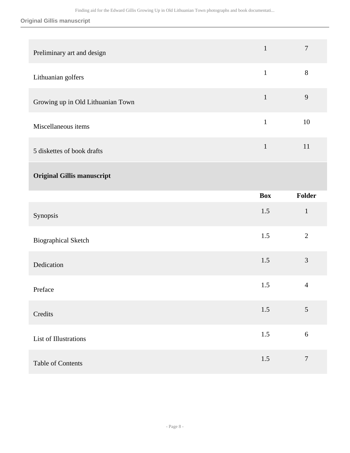### **Original Gillis manuscript**

| Preliminary art and design        | $\mathbf{1}$ | $\overline{7}$ |
|-----------------------------------|--------------|----------------|
| Lithuanian golfers                | $\mathbf{1}$ | 8              |
| Growing up in Old Lithuanian Town | $\mathbf{1}$ | 9              |
| Miscellaneous items               | $\mathbf{1}$ | 10             |
| 5 diskettes of book drafts        | $\mathbf{1}$ | 11             |
| <b>Original Gillis manuscript</b> |              |                |
|                                   |              |                |
|                                   | <b>Box</b>   | <b>Folder</b>  |
| Synopsis                          | 1.5          | $\mathbf{1}$   |
| <b>Biographical Sketch</b>        | 1.5          | $\overline{2}$ |
| Dedication                        | 1.5          | $\mathfrak{Z}$ |
| Preface                           | 1.5          | $\overline{4}$ |
| Credits                           | 1.5          | $\mathfrak{S}$ |
| List of Illustrations             | $1.5\,$      | $\sqrt{6}$     |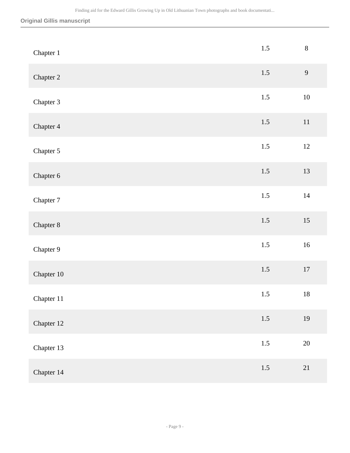### **Original Gillis manuscript**

| Chapter 1  | 1.5     | $8\,$  |
|------------|---------|--------|
| Chapter 2  | $1.5$   | 9      |
| Chapter 3  | $1.5\,$ | $10\,$ |
| Chapter 4  | $1.5$   | $11\,$ |
| Chapter 5  | $1.5\,$ | $12\,$ |
| Chapter 6  | $1.5$   | 13     |
| Chapter 7  | $1.5\,$ | $14\,$ |
| Chapter 8  | $1.5\,$ | $15\,$ |
| Chapter 9  | $1.5\,$ | $16\,$ |
| Chapter 10 | $1.5\,$ | $17\,$ |
| Chapter 11 | 1.5     | $18\,$ |
| Chapter 12 | $1.5$   | $19\,$ |
| Chapter 13 | $1.5\,$ | $20\,$ |
| Chapter 14 | $1.5\,$ | 21     |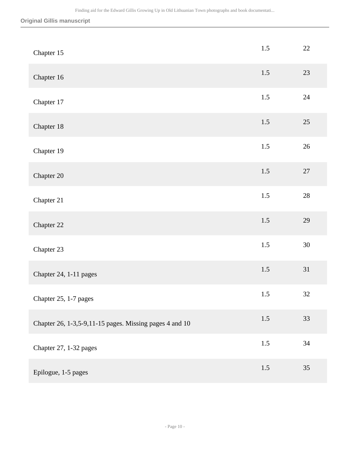### **Original Gillis manuscript**

| Chapter 15                                              | 1.5     | 22     |
|---------------------------------------------------------|---------|--------|
| Chapter 16                                              | 1.5     | 23     |
| Chapter 17                                              | 1.5     | $24\,$ |
| Chapter 18                                              | 1.5     | 25     |
| Chapter 19                                              | 1.5     | $26\,$ |
| Chapter 20                                              | 1.5     | $27\,$ |
| Chapter 21                                              | $1.5\,$ | $28\,$ |
| Chapter 22                                              | 1.5     | 29     |
| Chapter 23                                              | $1.5\,$ | $30\,$ |
| Chapter 24, 1-11 pages                                  | 1.5     | 31     |
| Chapter 25, 1-7 pages                                   | 1.5     | 32     |
| Chapter 26, 1-3,5-9,11-15 pages. Missing pages 4 and 10 | $1.5$   | 33     |
| Chapter 27, 1-32 pages                                  | $1.5\,$ | $34\,$ |
| Epilogue, 1-5 pages                                     | 1.5     | 35     |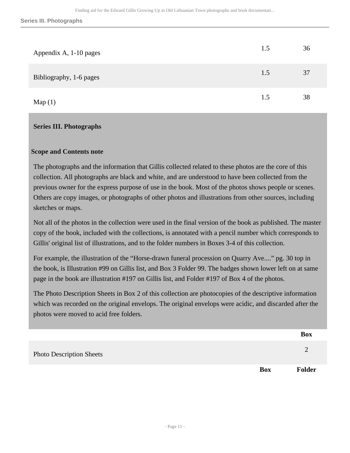| Appendix A, 1-10 pages  | 1.5 | 36 |
|-------------------------|-----|----|
| Bibliography, 1-6 pages | 1.5 | 37 |
| Map(1)                  | 1.5 | 38 |

#### <span id="page-10-0"></span>**Scope and Contents note**

The photographs and the information that Gillis collected related to these photos are the core of this collection. All photographs are black and white, and are understood to have been collected from the previous owner for the express purpose of use in the book. Most of the photos shows people or scenes. Others are copy images, or photographs of other photos and illustrations from other sources, including sketches or maps.

Not all of the photos in the collection were used in the final version of the book as published. The master copy of the book, included with the collections, is annotated with a pencil number which corresponds to Gillis' original list of illustrations, and to the folder numbers in Boxes 3-4 of this collection.

For example, the illustration of the "Horse-drawn funeral procession on Quarry Ave...." pg. 30 top in the book, is Illustration #99 on Gillis list, and Box 3 Folder 99. The badges shown lower left on at same page in the book are illustration #197 on Gillis list, and Folder #197 of Box 4 of the photos.

The Photo Description Sheets in Box 2 of this collection are photocopies of the descriptive information which was recorded on the original envelops. The original envelops were acidic, and discarded after the photos were moved to acid free folders.

|                                 |            | <b>Box</b>    |
|---------------------------------|------------|---------------|
| <b>Photo Description Sheets</b> |            |               |
|                                 | <b>Box</b> | <b>Folder</b> |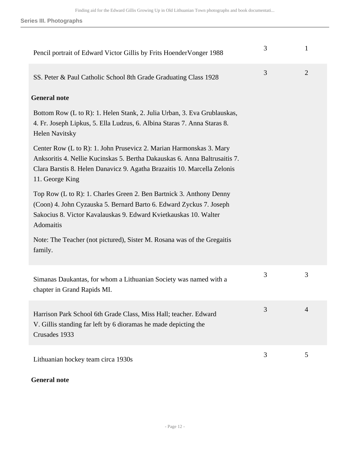| Pencil portrait of Edward Victor Gillis by Frits HoenderVonger 1988                                                                                                                                                                              | 3 | $\mathbf{1}$   |
|--------------------------------------------------------------------------------------------------------------------------------------------------------------------------------------------------------------------------------------------------|---|----------------|
| SS. Peter & Paul Catholic School 8th Grade Graduating Class 1928                                                                                                                                                                                 | 3 | $\overline{2}$ |
| <b>General note</b>                                                                                                                                                                                                                              |   |                |
| Bottom Row (L to R): 1. Helen Stank, 2. Julia Urban, 3. Eva Grublauskas,<br>4. Fr. Joseph Lipkus, 5. Ella Ludzus, 6. Albina Staras 7. Anna Staras 8.<br><b>Helen Navitsky</b>                                                                    |   |                |
| Center Row (L to R): 1. John Prusevicz 2. Marian Harmonskas 3. Mary<br>Anksoritis 4. Nellie Kucinskas 5. Bertha Dakauskas 6. Anna Baltrusaitis 7.<br>Clara Barstis 8. Helen Danavicz 9. Agatha Brazaitis 10. Marcella Zelonis<br>11. George King |   |                |
| Top Row (L to R): 1. Charles Green 2. Ben Bartnick 3. Anthony Denny<br>(Coon) 4. John Cyzauska 5. Bernard Barto 6. Edward Zyckus 7. Joseph<br>Sakocius 8. Victor Kavalauskas 9. Edward Kvietkauskas 10. Walter<br>Adomaitis                      |   |                |
| Note: The Teacher (not pictured), Sister M. Rosana was of the Gregaitis<br>family.                                                                                                                                                               |   |                |
| Simanas Daukantas, for whom a Lithuanian Society was named with a<br>chapter in Grand Rapids MI.                                                                                                                                                 | 3 | 3              |
| Harrison Park School 6th Grade Class, Miss Hall; teacher. Edward<br>V. Gillis standing far left by 6 dioramas he made depicting the<br>Crusades 1933                                                                                             | 3 | 4              |
| Lithuanian hockey team circa 1930s                                                                                                                                                                                                               | 3 | 5              |

## **General note**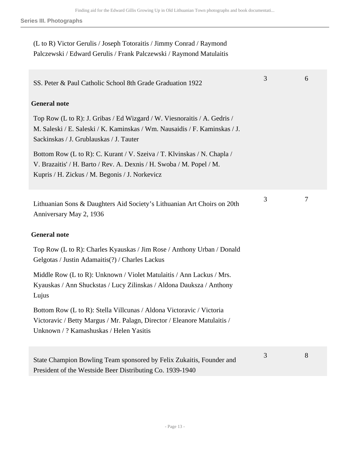(L to R) Victor Gerulis / Joseph Totoraitis / Jimmy Conrad / Raymond Palczewski / Edward Gerulis / Frank Palczewski / Raymond Matulaitis

| SS. Peter & Paul Catholic School 8th Grade Graduation 1922                                                                                                                                        | 3 | 6 |
|---------------------------------------------------------------------------------------------------------------------------------------------------------------------------------------------------|---|---|
| <b>General note</b>                                                                                                                                                                               |   |   |
| Top Row (L to R): J. Gribas / Ed Wizgard / W. Viesnoraitis / A. Gedris /<br>M. Saleski / E. Saleski / K. Kaminskas / Wm. Nausaidis / F. Kaminskas / J.<br>Sackinskas / J. Grublauskas / J. Tauter |   |   |
| Bottom Row (L to R): C. Kurant / V. Szeiva / T. Klvinskas / N. Chapla /<br>V. Brazaitis' / H. Barto / Rev. A. Dexnis / H. Swoba / M. Popel / M.<br>Kupris / H. Zickus / M. Begonis / J. Norkevicz |   |   |
| Lithuanian Sons & Daughters Aid Society's Lithuanian Art Choirs on 20th<br>Anniversary May 2, 1936                                                                                                | 3 | 7 |
| <b>General note</b>                                                                                                                                                                               |   |   |
| Top Row (L to R): Charles Kyauskas / Jim Rose / Anthony Urban / Donald<br>Gelgotas / Justin Adamaitis(?) / Charles Lackus                                                                         |   |   |
| Middle Row (L to R): Unknown / Violet Matulaitis / Ann Lackus / Mrs.<br>Kyauskas / Ann Shuckstas / Lucy Zilinskas / Aldona Dauksza / Anthony<br>Lujus                                             |   |   |
| Bottom Row (L to R): Stella Villcunas / Aldona Victoravic / Victoria<br>Victoravic / Betty Margus / Mr. Palagn, Director / Eleanore Matulaitis /<br>Unknown / ? Kamashuskas / Helen Yasitis       |   |   |
| State Champion Bowling Team sponsored by Felix Zukaitis, Founder and<br>President of the Westside Beer Distributing Co. 1939-1940                                                                 | 3 | 8 |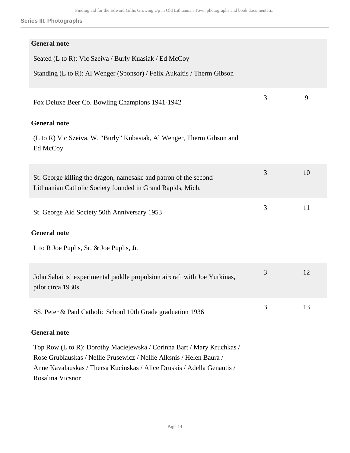| <b>General note</b>                                                                                                                                                                                                                           |   |    |
|-----------------------------------------------------------------------------------------------------------------------------------------------------------------------------------------------------------------------------------------------|---|----|
|                                                                                                                                                                                                                                               |   |    |
| Seated (L to R): Vic Szeiva / Burly Kuasiak / Ed McCoy                                                                                                                                                                                        |   |    |
| Standing (L to R): Al Wenger (Sponsor) / Felix Aukaitis / Therm Gibson                                                                                                                                                                        |   |    |
| Fox Deluxe Beer Co. Bowling Champions 1941-1942                                                                                                                                                                                               | 3 | 9  |
| <b>General note</b>                                                                                                                                                                                                                           |   |    |
| (L to R) Vic Szeiva, W. "Burly" Kubasiak, Al Wenger, Therm Gibson and<br>Ed McCoy.                                                                                                                                                            |   |    |
| St. George killing the dragon, namesake and patron of the second<br>Lithuanian Catholic Society founded in Grand Rapids, Mich.                                                                                                                | 3 | 10 |
| St. George Aid Society 50th Anniversary 1953                                                                                                                                                                                                  | 3 | 11 |
| <b>General note</b>                                                                                                                                                                                                                           |   |    |
| L to R Joe Puplis, Sr. & Joe Puplis, Jr.                                                                                                                                                                                                      |   |    |
| John Sabaitis' experimental paddle propulsion aircraft with Joe Yurkinas,<br>pilot circa 1930s                                                                                                                                                | 3 | 12 |
| SS. Peter & Paul Catholic School 10th Grade graduation 1936                                                                                                                                                                                   | 3 | 13 |
| <b>General note</b>                                                                                                                                                                                                                           |   |    |
| Top Row (L to R): Dorothy Maciejewska / Corinna Bart / Mary Kruchkas /<br>Rose Grublauskas / Nellie Prusewicz / Nellie Alksnis / Helen Baura /<br>Anne Kavalauskas / Thersa Kucinskas / Alice Druskis / Adella Genautis /<br>Rosalina Vicsnor |   |    |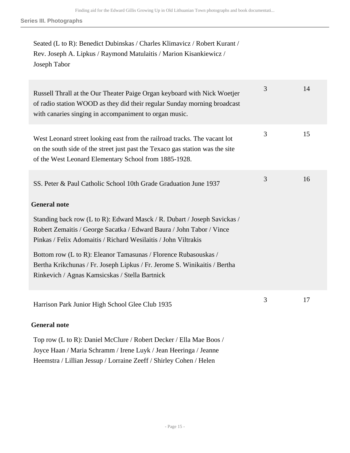Seated (L to R): Benedict Dubinskas / Charles Klimavicz / Robert Kurant / Rev. Joseph A. Lipkus / Raymond Matulaitis / Marion Kisankiewicz / Joseph Tabor

| Russell Thrall at the Our Theater Paige Organ keyboard with Nick Woetjer<br>of radio station WOOD as they did their regular Sunday morning broadcast<br>with canaries singing in accompaniment to organ music.      | 3 | 14 |
|---------------------------------------------------------------------------------------------------------------------------------------------------------------------------------------------------------------------|---|----|
| West Leonard street looking east from the railroad tracks. The vacant lot<br>on the south side of the street just past the Texaco gas station was the site<br>of the West Leonard Elementary School from 1885-1928. | 3 | 15 |
| SS. Peter & Paul Catholic School 10th Grade Graduation June 1937<br><b>General note</b>                                                                                                                             | 3 | 16 |
| Standing back row (L to R): Edward Masck / R. Dubart / Joseph Savickas /<br>Robert Zemaitis / George Sacatka / Edward Baura / John Tabor / Vince<br>Pinkas / Felix Adomaitis / Richard Wesilaitis / John Viltrakis  |   |    |
| Bottom row (L to R): Eleanor Tamasunas / Florence Rubasouskas /<br>Bertha Krikchunas / Fr. Joseph Lipkus / Fr. Jerome S. Winikaitis / Bertha<br>Rinkevich / Agnas Kamsicskas / Stella Bartnick                      |   |    |
| Harrison Park Junior High School Glee Club 1935                                                                                                                                                                     | 3 | 17 |
| <b>General note</b>                                                                                                                                                                                                 |   |    |

Top row (L to R): Daniel McClure / Robert Decker / Ella Mae Boos / Joyce Haan / Maria Schramm / Irene Luyk / Jean Heeringa / Jeanne Heemstra / Lillian Jessup / Lorraine Zeeff / Shirley Cohen / Helen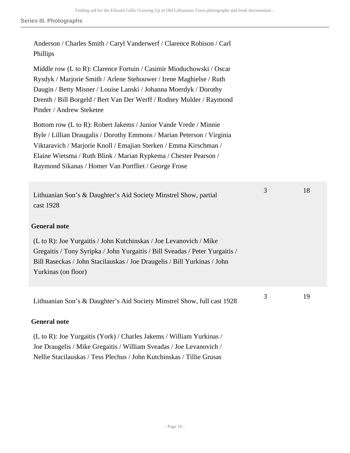| Anderson / Charles Smith / Caryl Vanderwerf / Clarence Robison / Carl<br>Phillips                                                                                                                                                                                                                                                           |   |    |
|---------------------------------------------------------------------------------------------------------------------------------------------------------------------------------------------------------------------------------------------------------------------------------------------------------------------------------------------|---|----|
| Middle row (L to R): Clarence Fortuin / Casimir Mioduchowski / Oscar<br>Rysdyk / Marjorie Smith / Arlene Stehouwer / Irene Maghielse / Ruth<br>Daugin / Betty Misner / Louise Lanski / Johanna Moerdyk / Dorothy<br>Drenth / Bill Borgeld / Bert Van Der Werff / Rodney Mulder / Raymond<br>Pinder / Andrew Steketee                        |   |    |
| Bottom row (L to R): Robert Jakems / Junior Vande Vrede / Minnie<br>Byle / Lillian Draugalis / Dorothy Emmons / Marian Peterson / Virginia<br>Viktaravich / Marjorie Knoll / Emajian Sterken / Emma Kirschman /<br>Elaine Wietsma / Ruth Blink / Marian Rypkema / Chester Pearson /<br>Raymond Sikanas / Homer Van Portfliet / George Frose |   |    |
| Lithuanian Son's & Daughter's Aid Society Minstrel Show, partial<br>cast 1928                                                                                                                                                                                                                                                               | 3 | 18 |
| <b>General note</b><br>(L to R): Joe Yurgaitis / John Kutchinskas / Joe Levanovich / Mike<br>Gregaitis / Tony Syripka / John Yurgaitis / Bill Sveadas / Peter Yurgaitis /<br>Bill Raseckas / John Stacilauskas / Joe Draugelis / Bill Yurkinas / John<br>Yurkinas (on floor)                                                                |   |    |
| Lithuanian Son's & Daughter's Aid Society Minstrel Show, full cast 1928<br><b>General note</b>                                                                                                                                                                                                                                              | 3 | 19 |
|                                                                                                                                                                                                                                                                                                                                             |   |    |

(L to R): Joe Yurgaitis (York) / Charles Jakems / William Yurkinas / Joe Draugelis / Mike Gregaitis / William Sveadas / Joe Levanovich / Nellie Stacilauskas / Tess Plechus / John Kutchinskas / Tillie Grusas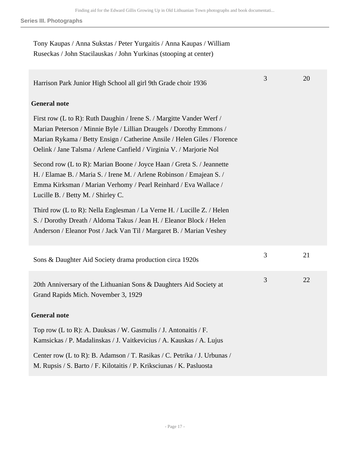| Tony Kaupas / Anna Sukstas / Peter Yurgaitis / Anna Kaupas / William |
|----------------------------------------------------------------------|
| Ruseckas / John Stacilauskas / John Yurkinas (stooping at center)    |

| Harrison Park Junior High School all girl 9th Grade choir 1936                                                                                                                                                                                                                                                                                                                                                                                                                                                                                            | 3 | 20 |
|-----------------------------------------------------------------------------------------------------------------------------------------------------------------------------------------------------------------------------------------------------------------------------------------------------------------------------------------------------------------------------------------------------------------------------------------------------------------------------------------------------------------------------------------------------------|---|----|
| <b>General note</b>                                                                                                                                                                                                                                                                                                                                                                                                                                                                                                                                       |   |    |
| First row (L to R): Ruth Daughin / Irene S. / Margitte Vander Werf /<br>Marian Peterson / Minnie Byle / Lillian Draugels / Dorothy Emmons /<br>Marian Rykama / Betty Ensign / Catherine Ansile / Helen Giles / Florence<br>Oelink / Jane Talsma / Arlene Canfield / Virginia V. / Marjorie Nol<br>Second row (L to R): Marian Boone / Joyce Haan / Greta S. / Jeannette<br>H. / Elamae B. / Maria S. / Irene M. / Arlene Robinson / Emajean S. /<br>Emma Kirksman / Marian Verhomy / Pearl Reinhard / Eva Wallace /<br>Lucille B. / Betty M. / Shirley C. |   |    |
| Third row (L to R): Nella Englesman / La Verne H. / Lucille Z. / Helen<br>S. / Dorothy Dreath / Aldoma Takus / Jean H. / Eleanor Block / Helen<br>Anderson / Eleanor Post / Jack Van Til / Margaret B. / Marian Veshey                                                                                                                                                                                                                                                                                                                                    |   |    |
| Sons & Daughter Aid Society drama production circa 1920s                                                                                                                                                                                                                                                                                                                                                                                                                                                                                                  | 3 | 21 |
| 20th Anniversary of the Lithuanian Sons & Daughters Aid Society at<br>Grand Rapids Mich. November 3, 1929                                                                                                                                                                                                                                                                                                                                                                                                                                                 | 3 | 22 |
| <b>General note</b>                                                                                                                                                                                                                                                                                                                                                                                                                                                                                                                                       |   |    |
| Top row (L to R): A. Dauksas / W. Gasmulis / J. Antonaitis / F.<br>Kamsickas / P. Madalinskas / J. Vaitkevicius / A. Kauskas / A. Lujus                                                                                                                                                                                                                                                                                                                                                                                                                   |   |    |
| Center row (L to R): B. Adamson / T. Rasikas / C. Petrika / J. Urbunas /<br>M. Rupsis / S. Barto / F. Kilotaitis / P. Kriksciunas / K. Pasluosta                                                                                                                                                                                                                                                                                                                                                                                                          |   |    |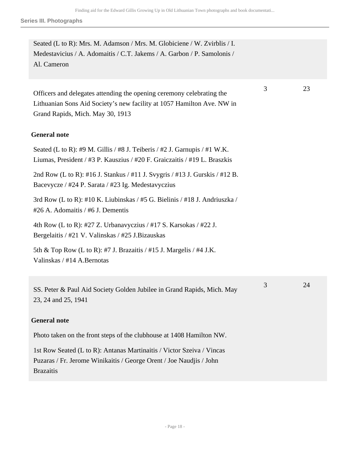3 23

Seated (L to R): Mrs. M. Adamson / Mrs. M. Globiciene / W. Zvirblis / I. Medestavicius / A. Adomaitis / C.T. Jakems / A. Garbon / P. Samolonis / Al. Cameron

Officers and delegates attending the opening ceremony celebrating the Lithuanian Sons Aid Society's new facility at 1057 Hamilton Ave. NW in Grand Rapids, Mich. May 30, 1913

#### **General note**

Seated (L to R): #9 M. Gillis / #8 J. Teiberis / #2 J. Garnupis / #1 W.K. Liumas, President / #3 P. Kauszius / #20 F. Graiczaitis / #19 L. Braszkis 2nd Row (L to R): #16 J. Stankus / #11 J. Svygris / #13 J. Gurskis / #12 B. Bacevycze / #24 P. Sarata / #23 Ig. Medestavyczius 3rd Row (L to R): #10 K. Liubinskas / #5 G. Bielinis / #18 J. Andriuszka / #26 A. Adomaitis / #6 J. Dementis 4th Row (L to R): #27 Z. Urbanavyczius / #17 S. Karsokas / #22 J. Bergelaitis / #21 V. Valinskas / #25 J.Bizauskas 5th & Top Row (L to R): #7 J. Brazaitis  $/$  #15 J. Margelis  $/$  #4 J.K. Valinskas / #14 A.Bernotas

SS. Peter & Paul Aid Society Golden Jubilee in Grand Rapids, Mich. May 23, 24 and 25, 1941 3 24

#### **General note**

Photo taken on the front steps of the clubhouse at 1408 Hamilton NW.

1st Row Seated (L to R): Antanas Martinaitis / Victor Szeiva / Vincas Puzaras / Fr. Jerome Winikaitis / George Orent / Joe Naudjis / John Brazaitis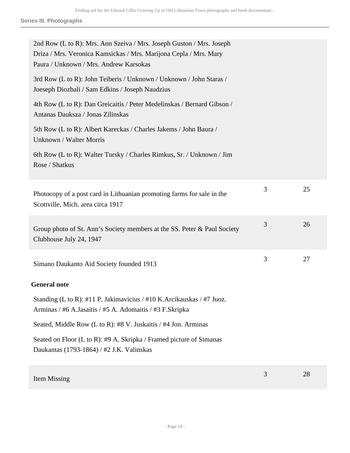| 2nd Row (L to R): Mrs. Ann Szeiva / Mrs. Joseph Guston / Mrs. Joseph<br>Driza / Mrs. Veronica Kamsickas / Mrs. Marijona Cepla / Mrs. Mary<br>Paura / Unknown / Mrs. Andrew Karsokas |   |    |
|-------------------------------------------------------------------------------------------------------------------------------------------------------------------------------------|---|----|
| 3rd Row (L to R): John Teiberis / Unknown / Unknown / John Staras /<br>Joeseph Diozbali / Sam Edkins / Joseph Naudzius                                                              |   |    |
| 4th Row (L to R): Dan Greicaitis / Peter Medelinskas / Bernard Gibson /<br>Antanas Dauksza / Jonas Zilinskas                                                                        |   |    |
| 5th Row (L to R): Albert Kareckas / Charles Jakems / John Baura /<br>Unknown / Walter Morris                                                                                        |   |    |
| 6th Row (L to R): Walter Tursky / Charles Rimkus, Sr. / Unknown / Jim<br>Rose / Shatkus                                                                                             |   |    |
| Photocopy of a post card in Lithuanian promoting farms for sale in the<br>Scottville, Mich. area circa 1917                                                                         | 3 | 25 |
| Group photo of St. Ann's Society members at the SS. Peter & Paul Society<br>Clubhouse July 24, 1947                                                                                 | 3 | 26 |
| Simano Daukanto Aid Society founded 1913                                                                                                                                            | 3 | 27 |
| <b>General note</b>                                                                                                                                                                 |   |    |
| Standing (L to R): #11 P. Jakimavicius / #10 K. Arcikauskas / #7 Juoz.<br>Arminas / #6 A.Jasaitis / #5 A. Adomaitis / #3 F.Skripka                                                  |   |    |
| Seated, Middle Row (L to R): #8 V. Juskaitis / #4 Jon. Arminas                                                                                                                      |   |    |
| Seated on Floor (L to R): #9 A. Skripka / Framed picture of Simanas<br>Daukantas (1793-1864) / #2 J.K. Valinskas                                                                    |   |    |
| Item Missing                                                                                                                                                                        | 3 | 28 |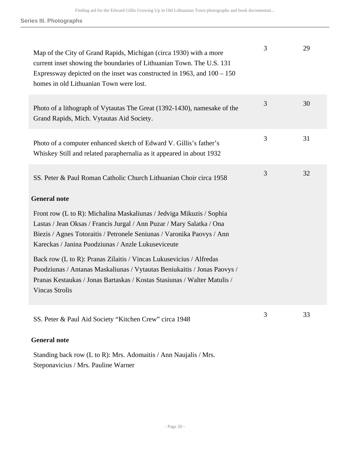| Map of the City of Grand Rapids, Michigan (circa 1930) with a more<br>current inset showing the boundaries of Lithuanian Town. The U.S. 131<br>Expressway depicted on the inset was constructed in $1963$ , and $100 - 150$<br>homes in old Lithuanian Town were lost.        | 3 | 29 |
|-------------------------------------------------------------------------------------------------------------------------------------------------------------------------------------------------------------------------------------------------------------------------------|---|----|
| Photo of a lithograph of Vytautas The Great (1392-1430), namesake of the<br>Grand Rapids, Mich. Vytautas Aid Society.                                                                                                                                                         | 3 | 30 |
| Photo of a computer enhanced sketch of Edward V. Gillis's father's<br>Whiskey Still and related paraphernalia as it appeared in about 1932                                                                                                                                    | 3 | 31 |
| SS. Peter & Paul Roman Catholic Church Lithuanian Choir circa 1958                                                                                                                                                                                                            | 3 | 32 |
| <b>General note</b>                                                                                                                                                                                                                                                           |   |    |
| Front row (L to R): Michalina Maskaliunas / Jedviga Mikuzis / Sophia<br>Lastas / Jean Oksas / Francis Jurgal / Ann Puzar / Mary Salatka / Ona<br>Biezis / Agnes Totoraitis / Petronele Seniunas / Varonika Paovys / Ann<br>Kareckas / Janina Puodziunas / Anzle Lukuseviceute |   |    |
| Back row (L to R): Pranas Zilaitis / Vincas Lukusevicius / Alfredas<br>Puodziunas / Antanas Maskaliunas / Vytautas Beniukaitis / Jonas Paovys /<br>Pranas Kestaukas / Jonas Bartaskas / Kostas Stasiunas / Walter Matulis /<br><b>Vincas Strolis</b>                          |   |    |
| SS. Peter & Paul Aid Society "Kitchen Crew" circa 1948                                                                                                                                                                                                                        | 3 | 33 |
| <b>General note</b>                                                                                                                                                                                                                                                           |   |    |

Standing back row (L to R): Mrs. Adomaitis / Ann Naujalis / Mrs. Steponavicius / Mrs. Pauline Warner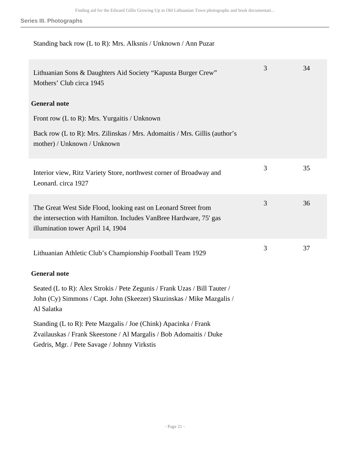### Standing back row (L to R): Mrs. Alksnis / Unknown / Ann Puzar

| Lithuanian Sons & Daughters Aid Society "Kapusta Burger Crew"<br>Mothers' Club circa 1945                                                                                             | 3 | 34 |
|---------------------------------------------------------------------------------------------------------------------------------------------------------------------------------------|---|----|
| <b>General note</b>                                                                                                                                                                   |   |    |
| Front row $(L to R)$ : Mrs. Yurgaitis / Unknown                                                                                                                                       |   |    |
| Back row (L to R): Mrs. Zilinskas / Mrs. Adomaitis / Mrs. Gillis (author's<br>mother) / Unknown / Unknown                                                                             |   |    |
| Interior view, Ritz Variety Store, northwest corner of Broadway and<br>Leonard. circa 1927                                                                                            | 3 | 35 |
| The Great West Side Flood, looking east on Leonard Street from<br>the intersection with Hamilton. Includes VanBree Hardware, 75' gas<br>illumination tower April 14, 1904             | 3 | 36 |
| Lithuanian Athletic Club's Championship Football Team 1929                                                                                                                            | 3 | 37 |
| <b>General note</b>                                                                                                                                                                   |   |    |
| Seated (L to R): Alex Strokis / Pete Zegunis / Frank Uzas / Bill Tauter /<br>John (Cy) Simmons / Capt. John (Skeezer) Skuzinskas / Mike Mazgalis /<br>Al Salatka                      |   |    |
| Standing (L to R): Pete Mazgalis / Joe (Chink) Apacinka / Frank<br>Zvailauskas / Frank Skeestone / Al Margalis / Bob Adomaitis / Duke<br>Gedris, Mgr. / Pete Savage / Johnny Virkstis |   |    |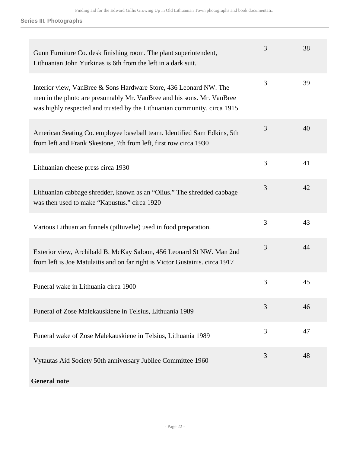| Gunn Furniture Co. desk finishing room. The plant superintendent,<br>Lithuanian John Yurkinas is 6th from the left in a dark suit.                                                                                     | 3 | 38 |
|------------------------------------------------------------------------------------------------------------------------------------------------------------------------------------------------------------------------|---|----|
| Interior view, VanBree & Sons Hardware Store, 436 Leonard NW. The<br>men in the photo are presumably Mr. VanBree and his sons. Mr. VanBree<br>was highly respected and trusted by the Lithuanian community. circa 1915 | 3 | 39 |
| American Seating Co. employee baseball team. Identified Sam Edkins, 5th<br>from left and Frank Skestone, 7th from left, first row circa 1930                                                                           | 3 | 40 |
| Lithuanian cheese press circa 1930                                                                                                                                                                                     | 3 | 41 |
| Lithuanian cabbage shredder, known as an "Olius." The shredded cabbage<br>was then used to make "Kapustus." circa 1920                                                                                                 | 3 | 42 |
| Various Lithuanian funnels (piltuvelie) used in food preparation.                                                                                                                                                      | 3 | 43 |
| Exterior view, Archibald B. McKay Saloon, 456 Leonard St NW. Man 2nd<br>from left is Joe Matulaitis and on far right is Victor Gustainis. circa 1917                                                                   | 3 | 44 |
| Funeral wake in Lithuania circa 1900                                                                                                                                                                                   | 3 | 45 |
| Funeral of Zose Malekauskiene in Telsius, Lithuania 1989                                                                                                                                                               | 3 | 46 |
| Funeral wake of Zose Malekauskiene in Telsius, Lithuania 1989                                                                                                                                                          | 3 | 47 |
| Vytautas Aid Society 50th anniversary Jubilee Committee 1960                                                                                                                                                           | 3 | 48 |
| <b>General note</b>                                                                                                                                                                                                    |   |    |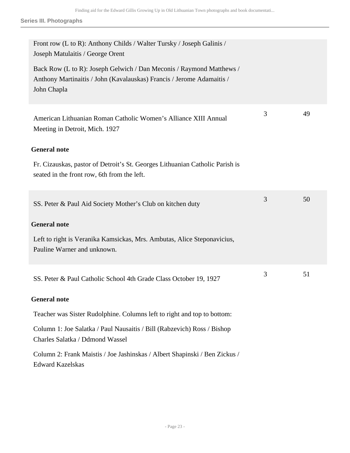| 3 | 49 |
|---|----|
|   |    |
|   |    |
| 3 | 50 |
|   |    |
|   |    |
| 3 | 51 |
|   |    |
|   |    |
|   |    |
|   |    |
|   |    |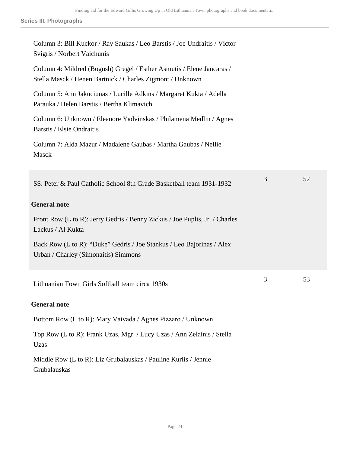| Column 3: Bill Kuckor / Ray Saukas / Leo Barstis / Joe Undraitis / Victor<br>Svigris / Norbert Vaichunis                           |   |    |
|------------------------------------------------------------------------------------------------------------------------------------|---|----|
| Column 4: Mildred (Bogush) Gregel / Esther Asmutis / Elene Jancaras /<br>Stella Masck / Henen Bartnick / Charles Zigmont / Unknown |   |    |
| Column 5: Ann Jakuciunas / Lucille Adkins / Margaret Kukta / Adella<br>Parauka / Helen Barstis / Bertha Klimavich                  |   |    |
| Column 6: Unknown / Eleanore Yadvinskas / Philamena Medlin / Agnes<br><b>Barstis / Elsie Ondraitis</b>                             |   |    |
| Column 7: Alda Mazur / Madalene Gaubas / Martha Gaubas / Nellie<br>Masck                                                           |   |    |
| SS. Peter & Paul Catholic School 8th Grade Basketball team 1931-1932                                                               | 3 | 52 |
| <b>General note</b>                                                                                                                |   |    |
| Front Row (L to R): Jerry Gedris / Benny Zickus / Joe Puplis, Jr. / Charles<br>Lackus / Al Kukta                                   |   |    |
| Back Row (L to R): "Duke" Gedris / Joe Stankus / Leo Bajorinas / Alex<br>Urban / Charley (Simonaitis) Simmons                      |   |    |
| Lithuanian Town Girls Softball team circa 1930s                                                                                    | 3 | 53 |
| <b>General note</b>                                                                                                                |   |    |
| Bottom Row (L to R): Mary Vaivada / Agnes Pizzaro / Unknown                                                                        |   |    |
| Top Row (L to R): Frank Uzas, Mgr. / Lucy Uzas / Ann Zelainis / Stella<br>Uzas                                                     |   |    |
| Middle Row (L to R): Liz Grubalauskas / Pauline Kurlis / Jennie<br>Grubalauskas                                                    |   |    |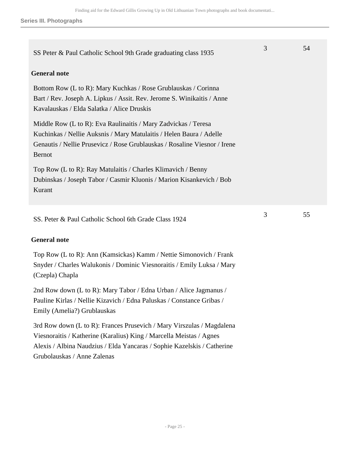| SS Peter & Paul Catholic School 9th Grade graduating class 1935                                                                                                                                                                     | 3 | 54 |
|-------------------------------------------------------------------------------------------------------------------------------------------------------------------------------------------------------------------------------------|---|----|
| <b>General note</b>                                                                                                                                                                                                                 |   |    |
| Bottom Row (L to R): Mary Kuchkas / Rose Grublauskas / Corinna<br>Bart / Rev. Joseph A. Lipkus / Assit. Rev. Jerome S. Winikaitis / Anne<br>Kavalauskas / Elda Salatka / Alice Druskis                                              |   |    |
| Middle Row (L to R): Eva Raulinaitis / Mary Zadvickas / Teresa<br>Kuchinkas / Nellie Auksnis / Mary Matulaitis / Helen Baura / Adelle<br>Genautis / Nellie Prusevicz / Rose Grublauskas / Rosaline Viesnor / Irene<br><b>Bernot</b> |   |    |
| Top Row (L to R): Ray Matulaitis / Charles Klimavich / Benny<br>Dubinskas / Joseph Tabor / Casmir Kluonis / Marion Kisankevich / Bob<br>Kurant                                                                                      |   |    |
| SS. Peter & Paul Catholic School 6th Grade Class 1924                                                                                                                                                                               | 3 | 55 |
| <b>General note</b>                                                                                                                                                                                                                 |   |    |
| $\mathbf{D}$ (I am $\mathbf{D}$ ). And (IZ, and the solution of $\mathbf{M}$ , and the $\mathbf{C}$ ) and $\mathbf{D}$ and $\mathbf{D}$                                                                                             |   |    |

Top Row (L to R): Ann (Kamsickas) Kamm / Nettie Simonovich / Frank Snyder / Charles Walukonis / Dominic Viesnoraitis / Emily Luksa / Mary (Czepla) Chapla

2nd Row down (L to R): Mary Tabor / Edna Urban / Alice Jagmanus / Pauline Kirlas / Nellie Kizavich / Edna Paluskas / Constance Gribas / Emily (Amelia?) Grublauskas

3rd Row down (L to R): Frances Prusevich / Mary Virszulas / Magdalena Viesnoraitis / Katherine (Karalius) King / Marcella Meistas / Agnes Alexis / Albina Naudzius / Elda Yancaras / Sophie Kazelskis / Catherine Grubolauskas / Anne Zalenas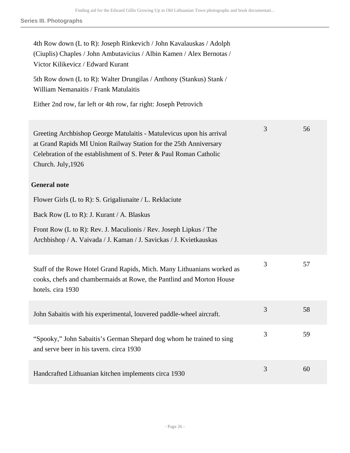| 4th Row down (L to R): Joseph Rinkevich / John Kavalauskas / Adolph<br>(Ciuplis) Chaples / John Ambutavicius / Albin Kamen / Alex Bernotas /<br>Victor Kilikevicz / Edward Kurant                                                     |   |    |
|---------------------------------------------------------------------------------------------------------------------------------------------------------------------------------------------------------------------------------------|---|----|
| 5th Row down (L to R): Walter Drungilas / Anthony (Stankus) Stank /<br>William Nemanaitis / Frank Matulaitis                                                                                                                          |   |    |
| Either 2nd row, far left or 4th row, far right: Joseph Petrovich                                                                                                                                                                      |   |    |
| Greeting Archbishop George Matulaitis - Matulevicus upon his arrival<br>at Grand Rapids MI Union Railway Station for the 25th Anniversary<br>Celebration of the establishment of S. Peter & Paul Roman Catholic<br>Church. July, 1926 | 3 | 56 |
| <b>General note</b>                                                                                                                                                                                                                   |   |    |
| Flower Girls (L to R): S. Grigaliunaite / L. Reklaciute                                                                                                                                                                               |   |    |
| Back Row (L to R): J. Kurant / A. Blaskus                                                                                                                                                                                             |   |    |
| Front Row (L to R): Rev. J. Maculionis / Rev. Joseph Lipkus / The<br>Archbishop / A. Vaivada / J. Kaman / J. Savickas / J. Kvietkauskas                                                                                               |   |    |
| Staff of the Rowe Hotel Grand Rapids, Mich. Many Lithuanians worked as<br>cooks, chefs and chambermaids at Rowe, the Pantlind and Morton House<br>hotels. cira 1930                                                                   | 3 | 57 |
| John Sabaitis with his experimental, louvered paddle-wheel aircraft.                                                                                                                                                                  | 3 | 58 |
| "Spooky," John Sabaitis's German Shepard dog whom he trained to sing<br>and serve beer in his tavern. circa 1930                                                                                                                      | 3 | 59 |
| Handcrafted Lithuanian kitchen implements circa 1930                                                                                                                                                                                  | 3 | 60 |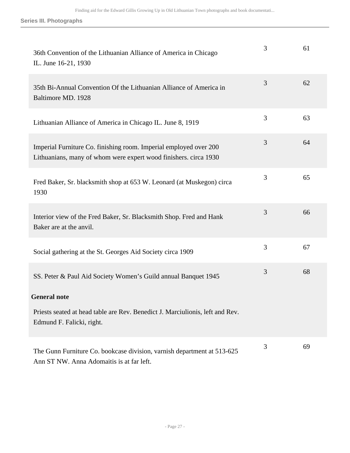| 36th Convention of the Lithuanian Alliance of America in Chicago<br>IL. June 16-21, 1930                                              | 3 | 61 |
|---------------------------------------------------------------------------------------------------------------------------------------|---|----|
| 35th Bi-Annual Convention Of the Lithuanian Alliance of America in<br>Baltimore MD. 1928                                              | 3 | 62 |
| Lithuanian Alliance of America in Chicago IL. June 8, 1919                                                                            | 3 | 63 |
| Imperial Furniture Co. finishing room. Imperial employed over 200<br>Lithuanians, many of whom were expert wood finishers. circa 1930 | 3 | 64 |
| Fred Baker, Sr. blacksmith shop at 653 W. Leonard (at Muskegon) circa<br>1930                                                         | 3 | 65 |
| Interior view of the Fred Baker, Sr. Blacksmith Shop. Fred and Hank<br>Baker are at the anvil.                                        | 3 | 66 |
| Social gathering at the St. Georges Aid Society circa 1909                                                                            | 3 | 67 |
| SS. Peter & Paul Aid Society Women's Guild annual Banquet 1945                                                                        | 3 | 68 |
| <b>General note</b>                                                                                                                   |   |    |
| Priests seated at head table are Rev. Benedict J. Marciulionis, left and Rev.<br>Edmund F. Falicki, right.                            |   |    |
| The Gunn Furniture Co. bookcase division, varnish department at 513-625<br>Ann ST NW. Anna Adomaitis is at far left.                  | 3 | 69 |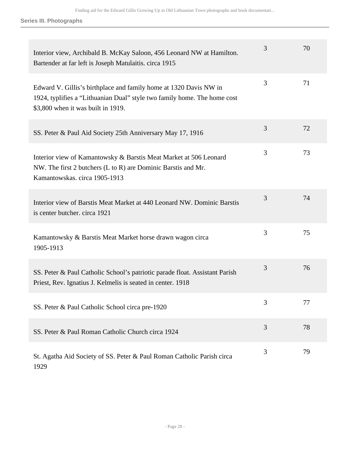| Interior view, Archibald B. McKay Saloon, 456 Leonard NW at Hamilton.<br>Bartender at far left is Joseph Matulaitis. circa 1915                                                     | 3 | 70 |
|-------------------------------------------------------------------------------------------------------------------------------------------------------------------------------------|---|----|
| Edward V. Gillis's birthplace and family home at 1320 Davis NW in<br>1924, typlifies a "Lithuanian Dual" style two family home. The home cost<br>\$3,800 when it was built in 1919. | 3 | 71 |
| SS. Peter & Paul Aid Society 25th Anniversary May 17, 1916                                                                                                                          | 3 | 72 |
| Interior view of Kamantowsky & Barstis Meat Market at 506 Leonard<br>NW. The first 2 butchers (L to R) are Dominic Barstis and Mr.<br>Kamantowskas, circa 1905-1913                 | 3 | 73 |
| Interior view of Barstis Meat Market at 440 Leonard NW. Dominic Barstis<br>is center butcher. circa 1921                                                                            | 3 | 74 |
| Kamantowsky & Barstis Meat Market horse drawn wagon circa<br>1905-1913                                                                                                              | 3 | 75 |
| SS. Peter & Paul Catholic School's patriotic parade float. Assistant Parish<br>Priest, Rev. Ignatius J. Kelmelis is seated in center. 1918                                          | 3 | 76 |
| SS. Peter & Paul Catholic School circa pre-1920                                                                                                                                     | 3 | 77 |
| SS. Peter & Paul Roman Catholic Church circa 1924                                                                                                                                   | 3 | 78 |
| St. Agatha Aid Society of SS. Peter & Paul Roman Catholic Parish circa<br>1929                                                                                                      | 3 | 79 |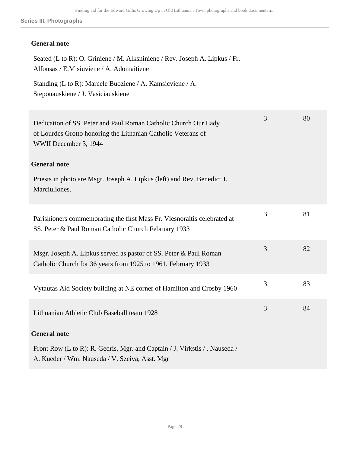## **General note**

| Seated (L to R): O. Griniene / M. Alksniniene / Rev. Joseph A. Lipkus / Fr.<br>Alfonsas / E.Misiuviene / A. Adomaitiene                                   |   |    |
|-----------------------------------------------------------------------------------------------------------------------------------------------------------|---|----|
| Standing (L to R): Marcele Buoziene / A. Kamsicviene / A.<br>Steponauskiene / J. Vasiciauskiene                                                           |   |    |
| Dedication of SS. Peter and Paul Roman Catholic Church Our Lady<br>of Lourdes Grotto honoring the Lithanian Catholic Veterans of<br>WWII December 3, 1944 | 3 | 80 |
| <b>General note</b>                                                                                                                                       |   |    |
| Priests in photo are Msgr. Joseph A. Lipkus (left) and Rev. Benedict J.<br>Marciuliones.                                                                  |   |    |
| Parishioners commemorating the first Mass Fr. Viesnoraitis celebrated at<br>SS. Peter & Paul Roman Catholic Church February 1933                          | 3 | 81 |
| Msgr. Joseph A. Lipkus served as pastor of SS. Peter & Paul Roman<br>Catholic Church for 36 years from 1925 to 1961. February 1933                        | 3 | 82 |
| Vytautas Aid Society building at NE corner of Hamilton and Crosby 1960                                                                                    | 3 | 83 |
| Lithuanian Athletic Club Baseball team 1928                                                                                                               | 3 | 84 |
| <b>General note</b>                                                                                                                                       |   |    |
| Front Row (L to R): R. Gedris, Mgr. and Captain / J. Virkstis / . Nauseda /<br>A. Kueder / Wm. Nauseda / V. Szeiva, Asst. Mgr                             |   |    |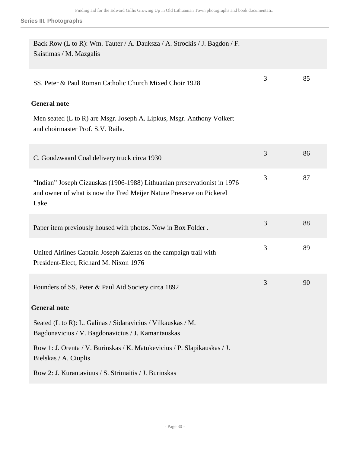| Back Row (L to R): Wm. Tauter / A. Dauksza / A. Strockis / J. Bagdon / F.<br>Skistimas / M. Mazgalis                                                      |   |    |
|-----------------------------------------------------------------------------------------------------------------------------------------------------------|---|----|
| SS. Peter & Paul Roman Catholic Church Mixed Choir 1928                                                                                                   | 3 | 85 |
| <b>General note</b>                                                                                                                                       |   |    |
| Men seated (L to R) are Msgr. Joseph A. Lipkus, Msgr. Anthony Volkert<br>and choirmaster Prof. S.V. Raila.                                                |   |    |
| C. Goudzwaard Coal delivery truck circa 1930                                                                                                              | 3 | 86 |
| "Indian" Joseph Cizauskas (1906-1988) Lithuanian preservationist in 1976<br>and owner of what is now the Fred Meijer Nature Preserve on Pickerel<br>Lake. | 3 | 87 |
| Paper item previously housed with photos. Now in Box Folder.                                                                                              | 3 | 88 |
| United Airlines Captain Joseph Zalenas on the campaign trail with<br>President-Elect, Richard M. Nixon 1976                                               | 3 | 89 |
| Founders of SS. Peter & Paul Aid Society circa 1892                                                                                                       | 3 | 90 |
| <b>General note</b>                                                                                                                                       |   |    |
| Seated (L to R): L. Galinas / Sidaravicius / Vilkauskas / M.<br>Bagdonavicius / V. Bagdonavicius / J. Kamantauskas                                        |   |    |
| Row 1: J. Orenta / V. Burinskas / K. Matukevicius / P. Slapikauskas / J.<br>Bielskas / A. Ciuplis                                                         |   |    |
| Row 2: J. Kurantaviuus / S. Strimaitis / J. Burinskas                                                                                                     |   |    |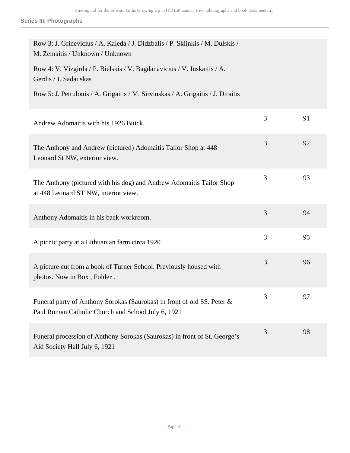| Row 3: J. Grinevicius / A. Kaleda / J. Didzbalis / P. Skiinkis / M. Dulskis /<br>M. Zemaitis / Unknown / Unknown              |   |    |
|-------------------------------------------------------------------------------------------------------------------------------|---|----|
| Row 4: V. Vizgirda / P. Bielskis / V. Bagdanavicius / V. Juskaitis / A.<br>Gerdis / J. Sadauskas                              |   |    |
| Row 5: J. Petrulonis / A. Grigaitis / M. Sirvinskas / A. Grigaitis / J. Diraitis                                              |   |    |
| Andrew Adomaitis with his 1926 Buick.                                                                                         | 3 | 91 |
| The Anthony and Andrew (pictured) Adomaitis Tailor Shop at 448<br>Leonard St NW, exterior view.                               | 3 | 92 |
| The Anthony (pictured with his dog) and Andrew Adomaitis Tailor Shop<br>at 448 Leonard ST NW, interior view.                  | 3 | 93 |
| Anthony Adomaitis in his back workroom.                                                                                       | 3 | 94 |
| A picnic party at a Lithuanian farm circa 1920                                                                                | 3 | 95 |
| A picture cut from a book of Turner School. Previously housed with<br>photos. Now in Box, Folder.                             | 3 | 96 |
| Funeral party of Anthony Sorokas (Saurokas) in front of old SS. Peter &<br>Paul Roman Catholic Church and School July 6, 1921 | 3 | 97 |
| Funeral procession of Anthony Sorokas (Saurokas) in front of St. George's<br>Aid Society Hall July 6, 1921                    | 3 | 98 |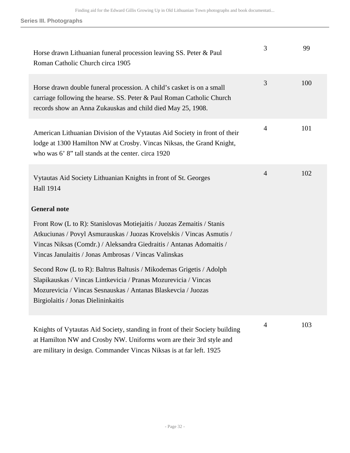| Horse drawn Lithuanian funeral procession leaving SS. Peter & Paul<br>Roman Catholic Church circa 1905                                                                                                                                                                           | 3              | 99  |
|----------------------------------------------------------------------------------------------------------------------------------------------------------------------------------------------------------------------------------------------------------------------------------|----------------|-----|
| Horse drawn double funeral procession. A child's casket is on a small<br>carriage following the hearse. SS. Peter & Paul Roman Catholic Church<br>records show an Anna Zukauskas and child died May 25, 1908.                                                                    | 3              | 100 |
| American Lithuanian Division of the Vytautas Aid Society in front of their<br>lodge at 1300 Hamilton NW at Crosby. Vincas Niksas, the Grand Knight,<br>who was 6' 8" tall stands at the center. circa 1920                                                                       | $\overline{4}$ | 101 |
| Vytautas Aid Society Lithuanian Knights in front of St. Georges<br><b>Hall 1914</b>                                                                                                                                                                                              | $\overline{4}$ | 102 |
| <b>General note</b>                                                                                                                                                                                                                                                              |                |     |
| Front Row (L to R): Stanislovas Motiejaitis / Juozas Zemaitis / Stanis<br>Atkuciunas / Povyl Asmurauskas / Juozas Krovelskis / Vincas Asmutis /<br>Vincas Niksas (Comdr.) / Aleksandra Giedraitis / Antanas Adomaitis /<br>Vincas Janulaitis / Jonas Ambrosas / Vincas Valinskas |                |     |
| Second Row (L to R): Baltrus Baltusis / Mikodemas Grigetis / Adolph<br>Slapikauskas / Vincas Lintkevicia / Pranas Mozurevicia / Vincas<br>Mozurevicia / Vincas Sesnauskas / Antanas Blaskevcia / Juozas<br>Birgiolaitis / Jonas Dielininkaitis                                   |                |     |
| Knights of Vytautas Aid Society, standing in front of their Society building<br>at Hamilton NW and Crosby NW. Uniforms worn are their 3rd style and<br>are military in design. Commander Vincas Niksas is at far left. 1925                                                      | $\overline{4}$ | 103 |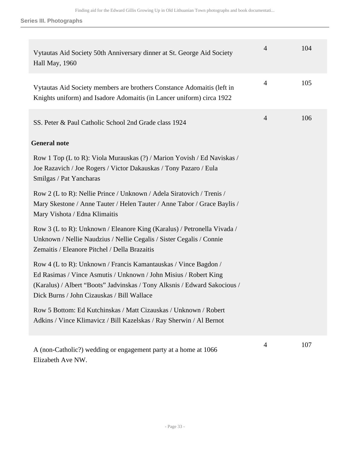| Vytautas Aid Society 50th Anniversary dinner at St. George Aid Society<br>Hall May, 1960                                                                                                                                                                       | $\overline{4}$ | 104 |
|----------------------------------------------------------------------------------------------------------------------------------------------------------------------------------------------------------------------------------------------------------------|----------------|-----|
| Vytautas Aid Society members are brothers Constance Adomaitis (left in<br>Knights uniform) and Isadore Adomaitis (in Lancer uniform) circa 1922                                                                                                                | $\overline{4}$ | 105 |
| SS. Peter & Paul Catholic School 2nd Grade class 1924                                                                                                                                                                                                          | $\overline{4}$ | 106 |
| <b>General note</b>                                                                                                                                                                                                                                            |                |     |
| Row 1 Top (L to R): Viola Murauskas (?) / Marion Yovish / Ed Naviskas /<br>Joe Razavich / Joe Rogers / Victor Dakauskas / Tony Pazaro / Eula<br>Smilgas / Pat Yancharas                                                                                        |                |     |
| Row 2 (L to R): Nellie Prince / Unknown / Adela Siratovich / Trenis /<br>Mary Skestone / Anne Tauter / Helen Tauter / Anne Tabor / Grace Baylis /<br>Mary Vishota / Edna Klimaitis                                                                             |                |     |
| Row 3 (L to R): Unknown / Eleanore King (Karalus) / Petronella Vivada /<br>Unknown / Nellie Naudzius / Nellie Cegalis / Sister Cegalis / Connie<br>Zemaitis / Eleanore Pitchel / Della Brazaitis                                                               |                |     |
| Row 4 (L to R): Unknown / Francis Kamantauskas / Vince Bagdon /<br>Ed Rasimas / Vince Asmutis / Unknown / John Misius / Robert King<br>(Karalus) / Albert "Boots" Jadvinskas / Tony Alksnis / Edward Sakocious /<br>Dick Burns / John Cizauskas / Bill Wallace |                |     |
| Row 5 Bottom: Ed Kutchinskas / Matt Cizauskas / Unknown / Robert<br>Adkins / Vince Klimavicz / Bill Kazelskas / Ray Sherwin / Al Bernot                                                                                                                        |                |     |
| A (non-Catholic?) wedding or engagement party at a home at 1066                                                                                                                                                                                                | 4              | 107 |

Elizabeth Ave NW.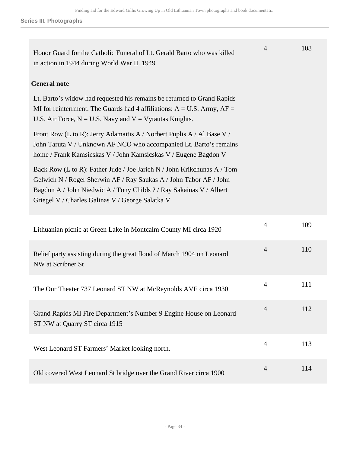| Honor Guard for the Catholic Funeral of Lt. Gerald Barto who was killed<br>in action in 1944 during World War II. 1949                                                                                                                                                   | $\overline{4}$ | 108 |
|--------------------------------------------------------------------------------------------------------------------------------------------------------------------------------------------------------------------------------------------------------------------------|----------------|-----|
| <b>General note</b>                                                                                                                                                                                                                                                      |                |     |
| Lt. Barto's widow had requested his remains be returned to Grand Rapids<br>MI for reinterment. The Guards had 4 affiliations: $A = U.S.$ Army, $AF =$<br>U.S. Air Force, $N = U.S.$ Navy and $V = V$ ytautas Knights.                                                    |                |     |
| Front Row (L to R): Jerry Adamaitis A / Norbert Puplis A / Al Base V /<br>John Taruta V / Unknown AF NCO who accompanied Lt. Barto's remains<br>home / Frank Kamsicskas V / John Kamsicskas V / Eugene Bagdon V                                                          |                |     |
| Back Row (L to R): Father Jude / Joe Jarich N / John Krikchunas A / Tom<br>Gelwich N / Roger Sherwin AF / Ray Saukas A / John Tabor AF / John<br>Bagdon A / John Niedwic A / Tony Childs ? / Ray Sakainas V / Albert<br>Griegel V / Charles Galinas V / George Salatka V |                |     |
| Lithuanian picnic at Green Lake in Montcalm County MI circa 1920                                                                                                                                                                                                         | 4              | 109 |
| Relief party assisting during the great flood of March 1904 on Leonard<br>NW at Scribner St                                                                                                                                                                              | $\overline{4}$ | 110 |
| The Our Theater 737 Leonard ST NW at McReynolds AVE circa 1930                                                                                                                                                                                                           | $\overline{4}$ | 111 |
| Grand Rapids MI Fire Department's Number 9 Engine House on Leonard<br>ST NW at Quarry ST circa 1915                                                                                                                                                                      | $\overline{4}$ | 112 |
| West Leonard ST Farmers' Market looking north.                                                                                                                                                                                                                           | $\overline{4}$ | 113 |
| Old covered West Leonard St bridge over the Grand River circa 1900                                                                                                                                                                                                       | 4              | 114 |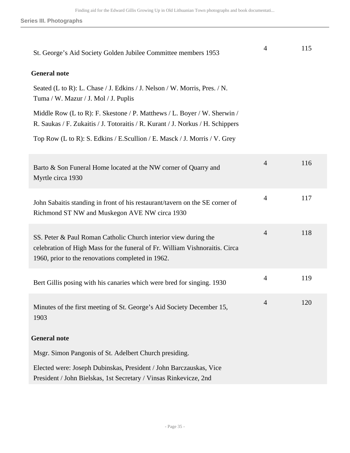| St. George's Aid Society Golden Jubilee Committee members 1953                                                                                                                                      | 4              | 115 |
|-----------------------------------------------------------------------------------------------------------------------------------------------------------------------------------------------------|----------------|-----|
| <b>General note</b>                                                                                                                                                                                 |                |     |
| Seated (L to R): L. Chase / J. Edkins / J. Nelson / W. Morris, Pres. / N.<br>Tuma / W. Mazur / J. Mol / J. Puplis                                                                                   |                |     |
| Middle Row (L to R): F. Skestone / P. Matthews / L. Boyer / W. Sherwin /<br>R. Saukas / F. Zukaitis / J. Totoraitis / R. Kurant / J. Norkus / H. Schippers                                          |                |     |
| Top Row (L to R): S. Edkins / E.Scullion / E. Masck / J. Morris / V. Grey                                                                                                                           |                |     |
| Barto & Son Funeral Home located at the NW corner of Quarry and<br>Myrtle circa 1930                                                                                                                | $\overline{4}$ | 116 |
| John Sabaitis standing in front of his restaurant/tavern on the SE corner of<br>Richmond ST NW and Muskegon AVE NW circa 1930                                                                       | $\overline{4}$ | 117 |
| SS. Peter & Paul Roman Catholic Church interior view during the<br>celebration of High Mass for the funeral of Fr. William Vishnoraitis. Circa<br>1960, prior to the renovations completed in 1962. | $\overline{4}$ | 118 |
| Bert Gillis posing with his canaries which were bred for singing. 1930                                                                                                                              | $\overline{4}$ | 119 |
| Minutes of the first meeting of St. George's Aid Society December 15,<br>1903                                                                                                                       | $\overline{4}$ | 120 |
| <b>General note</b>                                                                                                                                                                                 |                |     |
| Msgr. Simon Pangonis of St. Adelbert Church presiding.                                                                                                                                              |                |     |
| Elected were: Joseph Dubinskas, President / John Barczauskas, Vice<br>President / John Bielskas, 1st Secretary / Vinsas Rinkevicze, 2nd                                                             |                |     |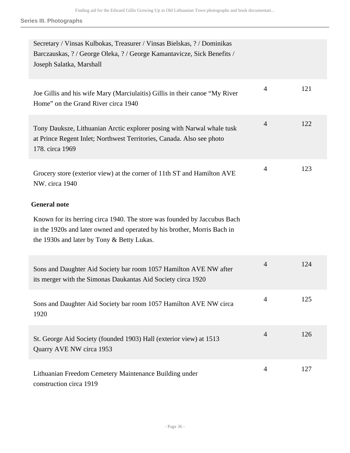| Secretary / Vinsas Kulbokas, Treasurer / Vinsas Bielskas, ? / Dominikas<br>Barczauskas, ?/ George Oleka, ?/ George Kamantavicze, Sick Benefits /<br>Joseph Salatka, Marshall                       |                |     |
|----------------------------------------------------------------------------------------------------------------------------------------------------------------------------------------------------|----------------|-----|
| Joe Gillis and his wife Mary (Marciulaitis) Gillis in their canoe "My River<br>Home" on the Grand River circa 1940                                                                                 | $\overline{4}$ | 121 |
| Tony Dauksze, Lithuanian Arctic explorer posing with Narwal whale tusk<br>at Prince Regent Inlet; Northwest Territories, Canada. Also see photo<br>178. circa 1969                                 | $\overline{4}$ | 122 |
| Grocery store (exterior view) at the corner of 11th ST and Hamilton AVE<br>NW. circa 1940                                                                                                          | $\overline{4}$ | 123 |
| <b>General note</b>                                                                                                                                                                                |                |     |
| Known for its herring circa 1940. The store was founded by Jaccubus Bach<br>in the 1920s and later owned and operated by his brother, Morris Bach in<br>the 1930s and later by Tony & Betty Lukas. |                |     |
| Sons and Daughter Aid Society bar room 1057 Hamilton AVE NW after<br>its merger with the Simonas Daukantas Aid Society circa 1920                                                                  | $\overline{4}$ | 124 |
| Sons and Daughter Aid Society bar room 1057 Hamilton AVE NW circa<br>1920                                                                                                                          | 4              | 125 |
| St. George Aid Society (founded 1903) Hall (exterior view) at 1513<br>Quarry AVE NW circa 1953                                                                                                     | $\overline{4}$ | 126 |
| Lithuanian Freedom Cemetery Maintenance Building under<br>construction circa 1919                                                                                                                  | 4              | 127 |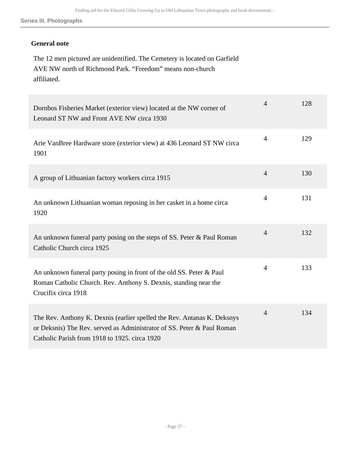### **General note**

The 12 men pictured are unidentified. The Cemetery is located on Garfield AVE NW north of Richmond Park. "Freedom" means non-church affiliated.

| Dornbos Fisheries Market (exterior view) located at the NW corner of<br>Leonard ST NW and Front AVE NW circa 1930                                                                                  | 4              | 128 |
|----------------------------------------------------------------------------------------------------------------------------------------------------------------------------------------------------|----------------|-----|
| Arie VanBree Hardware store (exterior view) at 436 Leonard ST NW circa<br>1901                                                                                                                     | $\overline{4}$ | 129 |
| A group of Lithuanian factory workers circa 1915                                                                                                                                                   | $\overline{4}$ | 130 |
| An unknown Lithuanian woman reposing in her casket in a home circa<br>1920                                                                                                                         | $\overline{4}$ | 131 |
| An unknown funeral party posing on the steps of SS. Peter & Paul Roman<br>Catholic Church circa 1925                                                                                               | $\overline{4}$ | 132 |
| An unknown funeral party posing in front of the old SS. Peter & Paul<br>Roman Catholic Church. Rev. Anthony S. Dexnis, standing near the<br>Crucifix circa 1918                                    | $\overline{4}$ | 133 |
| The Rev. Anthony K. Dexnis (earlier spelled the Rev. Antanas K. Deksnys<br>or Deksnis) The Rev. served as Administrator of SS. Peter & Paul Roman<br>Catholic Parish from 1918 to 1925, circa 1920 | $\overline{4}$ | 134 |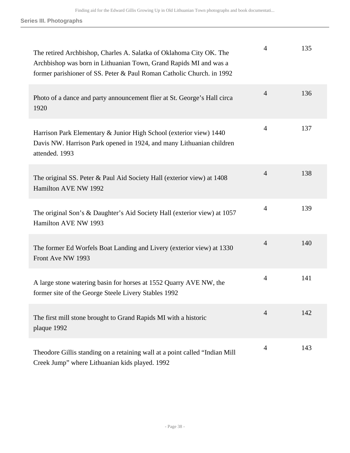| The retired Archbishop, Charles A. Salatka of Oklahoma City OK. The<br>Archbishop was born in Lithuanian Town, Grand Rapids MI and was a<br>former parishioner of SS. Peter & Paul Roman Catholic Church. in 1992 | 4              | 135 |
|-------------------------------------------------------------------------------------------------------------------------------------------------------------------------------------------------------------------|----------------|-----|
| Photo of a dance and party announcement flier at St. George's Hall circa<br>1920                                                                                                                                  | $\overline{4}$ | 136 |
| Harrison Park Elementary & Junior High School (exterior view) 1440<br>Davis NW. Harrison Park opened in 1924, and many Lithuanian children<br>attended. 1993                                                      | 4              | 137 |
| The original SS. Peter & Paul Aid Society Hall (exterior view) at 1408<br>Hamilton AVE NW 1992                                                                                                                    | $\overline{4}$ | 138 |
| The original Son's & Daughter's Aid Society Hall (exterior view) at 1057<br>Hamilton AVE NW 1993                                                                                                                  | $\overline{4}$ | 139 |
| The former Ed Worfels Boat Landing and Livery (exterior view) at 1330<br>Front Ave NW 1993                                                                                                                        | $\overline{4}$ | 140 |
| A large stone watering basin for horses at 1552 Quarry AVE NW, the<br>former site of the George Steele Livery Stables 1992                                                                                        | $\overline{4}$ | 141 |
| The first mill stone brought to Grand Rapids MI with a historic<br>plaque 1992                                                                                                                                    | $\overline{4}$ | 142 |
| Theodore Gillis standing on a retaining wall at a point called "Indian Mill"<br>Creek Jump" where Lithuanian kids played. 1992                                                                                    | 4              | 143 |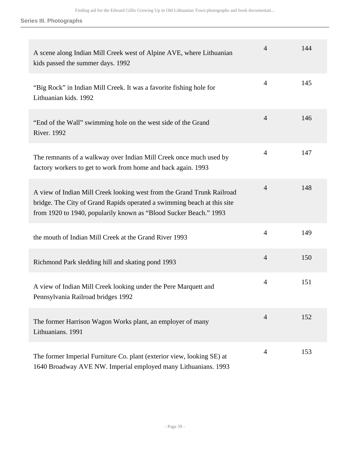| A scene along Indian Mill Creek west of Alpine AVE, where Lithuanian<br>kids passed the summer days. 1992                                                                                                              | 4              | 144 |
|------------------------------------------------------------------------------------------------------------------------------------------------------------------------------------------------------------------------|----------------|-----|
| "Big Rock" in Indian Mill Creek. It was a favorite fishing hole for<br>Lithuanian kids. 1992                                                                                                                           | $\overline{4}$ | 145 |
| "End of the Wall" swimming hole on the west side of the Grand<br><b>River. 1992</b>                                                                                                                                    | $\overline{4}$ | 146 |
| The remnants of a walkway over Indian Mill Creek once much used by<br>factory workers to get to work from home and back again. 1993                                                                                    | $\overline{4}$ | 147 |
| A view of Indian Mill Creek looking west from the Grand Trunk Railroad<br>bridge. The City of Grand Rapids operated a swimming beach at this site<br>from 1920 to 1940, popularily known as "Blood Sucker Beach." 1993 | $\overline{4}$ | 148 |
| the mouth of Indian Mill Creek at the Grand River 1993                                                                                                                                                                 | $\overline{4}$ | 149 |
| Richmond Park sledding hill and skating pond 1993                                                                                                                                                                      | $\overline{4}$ | 150 |
| A view of Indian Mill Creek looking under the Pere Marquett and<br>Pennsylvania Railroad bridges 1992                                                                                                                  | $\overline{4}$ | 151 |
| The former Harrison Wagon Works plant, an employer of many<br>Lithuanians. 1991                                                                                                                                        | $\overline{4}$ | 152 |
| The former Imperial Furniture Co. plant (exterior view, looking SE) at<br>1640 Broadway AVE NW. Imperial employed many Lithuanians. 1993                                                                               | $\overline{4}$ | 153 |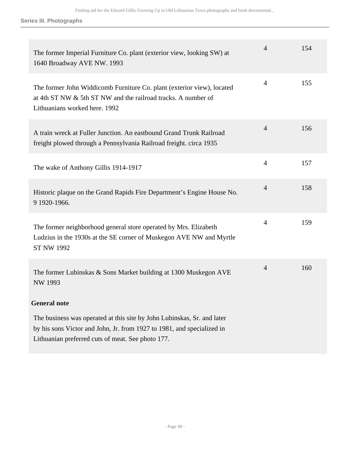| The former Imperial Furniture Co. plant (exterior view, looking SW) at<br>1640 Broadway AVE NW. 1993                                                                                                   | $\overline{4}$ | 154 |
|--------------------------------------------------------------------------------------------------------------------------------------------------------------------------------------------------------|----------------|-----|
| The former John Widdicomb Furniture Co. plant (exterior view), located<br>at 4th ST NW & 5th ST NW and the railroad tracks. A number of<br>Lithuanians worked here. 1992                               | $\overline{4}$ | 155 |
| A train wreck at Fuller Junction. An eastbound Grand Trunk Railroad<br>freight plowed through a Pennsylvania Railroad freight. circa 1935                                                              | $\overline{4}$ | 156 |
| The wake of Anthony Gillis 1914-1917                                                                                                                                                                   | $\overline{4}$ | 157 |
| Historic plaque on the Grand Rapids Fire Department's Engine House No.<br>9 1920-1966.                                                                                                                 | $\overline{4}$ | 158 |
| The former neighborhood general store operated by Mrs. Elizabeth<br>Ludzius in the 1930s at the SE corner of Muskegon AVE NW and Myrtle<br><b>ST NW 1992</b>                                           | $\overline{4}$ | 159 |
| The former Lubinskas & Sons Market building at 1300 Muskegon AVE<br><b>NW 1993</b>                                                                                                                     | $\overline{4}$ | 160 |
| <b>General note</b>                                                                                                                                                                                    |                |     |
| The business was operated at this site by John Lubinskas, Sr. and later<br>by his sons Victor and John, Jr. from 1927 to 1981, and specialized in<br>Lithuanian preferred cuts of meat. See photo 177. |                |     |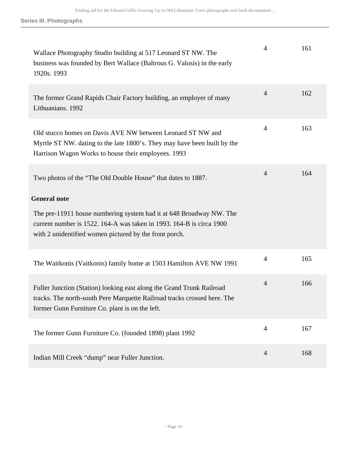| Wallace Photography Studio building at 517 Leonard ST NW. The<br>business was founded by Bert Wallace (Baltrous G. Valusis) in the early<br>1920s. 1993                                               | $\overline{4}$ | 161 |
|-------------------------------------------------------------------------------------------------------------------------------------------------------------------------------------------------------|----------------|-----|
| The former Grand Rapids Chair Factory building, an employer of many<br>Lithuanians. 1992                                                                                                              | $\overline{4}$ | 162 |
| Old stucco homes on Davis AVE NW between Leonard ST NW and<br>Myrtle ST NW. dating to the late 1800's. They may have been built by the<br>Harrison Wagon Works to house their employees. 1993         | $\overline{4}$ | 163 |
| Two photos of the "The Old Double House" that dates to 1887.                                                                                                                                          | $\overline{4}$ | 164 |
| <b>General note</b>                                                                                                                                                                                   |                |     |
| The pre-11911 house numbering system had it at 648 Broadway NW. The<br>current number is 1522. 164-A was taken in 1993. 164-B is circa 1900<br>with 2 unidentified women pictured by the front porch. |                |     |
| The Waitkonis (Vaitkonis) family home at 1503 Hamilton AVE NW 1991                                                                                                                                    | 4              | 165 |
| Fuller Junction (Station) looking east along the Grand Trunk Railroad<br>tracks. The north-south Pere Marquette Railroad tracks crossed here. The<br>former Gunn Furniture Co. plant is on the left.  | $\overline{4}$ | 166 |
| The former Gunn Furniture Co. (founded 1898) plant 1992                                                                                                                                               | $\overline{4}$ | 167 |
| Indian Mill Creek "dump" near Fuller Junction.                                                                                                                                                        | $\overline{4}$ | 168 |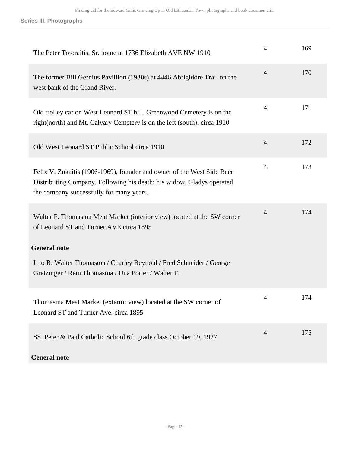| The Peter Totoraitis, Sr. home at 1736 Elizabeth AVE NW 1910                                                                                                                                | $\overline{4}$ | 169 |
|---------------------------------------------------------------------------------------------------------------------------------------------------------------------------------------------|----------------|-----|
| The former Bill Gernius Pavillion (1930s) at 4446 Abrigidore Trail on the<br>west bank of the Grand River.                                                                                  | $\overline{4}$ | 170 |
| Old trolley car on West Leonard ST hill. Greenwood Cemetery is on the<br>right(north) and Mt. Calvary Cemetery is on the left (south). circa 1910                                           | 4              | 171 |
| Old West Leonard ST Public School circa 1910                                                                                                                                                | $\overline{4}$ | 172 |
| Felix V. Zukaitis (1906-1969), founder and owner of the West Side Beer<br>Distributing Company. Following his death; his widow, Gladys operated<br>the company successfully for many years. | $\overline{4}$ | 173 |
| Walter F. Thomasma Meat Market (interior view) located at the SW corner<br>of Leonard ST and Turner AVE circa 1895                                                                          | $\overline{4}$ | 174 |
| <b>General note</b>                                                                                                                                                                         |                |     |
| L to R: Walter Thomasma / Charley Reynold / Fred Schneider / George<br>Gretzinger / Rein Thomasma / Una Porter / Walter F.                                                                  |                |     |
| Thomasma Meat Market (exterior view) located at the SW corner of<br>Leonard ST and Turner Ave. circa 1895                                                                                   | $\Delta$       | 174 |
| SS. Peter & Paul Catholic School 6th grade class October 19, 1927                                                                                                                           | $\overline{4}$ | 175 |
| <b>General note</b>                                                                                                                                                                         |                |     |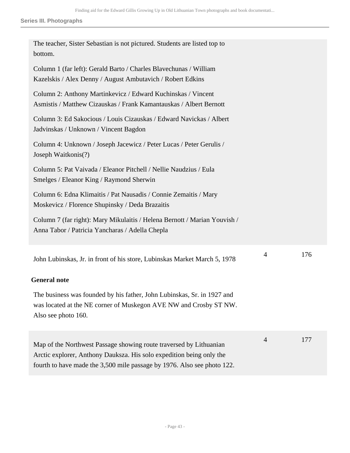| The teacher, Sister Sebastian is not pictured. Students are listed top to<br>bottom.                                                                                                                                  |   |     |
|-----------------------------------------------------------------------------------------------------------------------------------------------------------------------------------------------------------------------|---|-----|
| Column 1 (far left): Gerald Barto / Charles Blavechunas / William<br>Kazelskis / Alex Denny / August Ambutavich / Robert Edkins                                                                                       |   |     |
| Column 2: Anthony Martinkevicz / Edward Kuchinskas / Vincent<br>Asmistis / Matthew Cizauskas / Frank Kamantauskas / Albert Bernott                                                                                    |   |     |
| Column 3: Ed Sakocious / Louis Cizauskas / Edward Navickas / Albert<br>Jadvinskas / Unknown / Vincent Bagdon                                                                                                          |   |     |
| Column 4: Unknown / Joseph Jacewicz / Peter Lucas / Peter Gerulis /<br>Joseph Waitkonis(?)                                                                                                                            |   |     |
| Column 5: Pat Vaivada / Eleanor Pitchell / Nellie Naudzius / Eula<br>Smelges / Eleanor King / Raymond Sherwin                                                                                                         |   |     |
| Column 6: Edna Klimaitis / Pat Nausadis / Connie Zemaitis / Mary<br>Moskevicz / Florence Shupinsky / Deda Brazaitis                                                                                                   |   |     |
| Column 7 (far right): Mary Mikulaitis / Helena Bernott / Marian Youvish /<br>Anna Tabor / Patricia Yancharas / Adella Chepla                                                                                          |   |     |
| John Lubinskas, Jr. in front of his store, Lubinskas Market March 5, 1978                                                                                                                                             | 4 | 176 |
| <b>General note</b>                                                                                                                                                                                                   |   |     |
| The business was founded by his father, John Lubinskas, Sr. in 1927 and<br>was located at the NE corner of Muskegon AVE NW and Crosby ST NW.<br>Also see photo 160.                                                   |   |     |
| Map of the Northwest Passage showing route traversed by Lithuanian<br>Arctic explorer, Anthony Dauksza. His solo expedition being only the<br>fourth to have made the 3,500 mile passage by 1976. Also see photo 122. | 4 | 177 |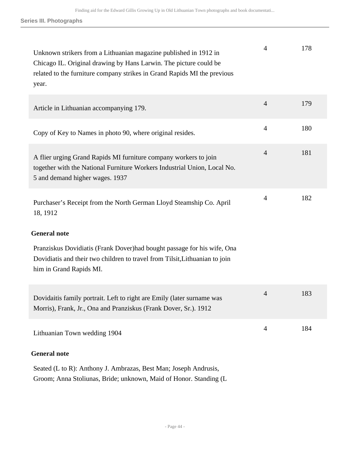| Unknown strikers from a Lithuanian magazine published in 1912 in<br>Chicago IL. Original drawing by Hans Larwin. The picture could be<br>related to the furniture company strikes in Grand Rapids MI the previous<br>year. | 4              | 178 |
|----------------------------------------------------------------------------------------------------------------------------------------------------------------------------------------------------------------------------|----------------|-----|
| Article in Lithuanian accompanying 179.                                                                                                                                                                                    | $\overline{4}$ | 179 |
| Copy of Key to Names in photo 90, where original resides.                                                                                                                                                                  | $\overline{4}$ | 180 |
| A flier urging Grand Rapids MI furniture company workers to join<br>together with the National Furniture Workers Industrial Union, Local No.<br>5 and demand higher wages. 1937                                            | $\overline{4}$ | 181 |
| Purchaser's Receipt from the North German Lloyd Steamship Co. April<br>18, 1912                                                                                                                                            | 4              | 182 |
| <b>General note</b>                                                                                                                                                                                                        |                |     |
| Pranziskus Dovidiatis (Frank Dover) had bought passage for his wife, Ona<br>Dovidiatis and their two children to travel from Tilsit, Lithuanian to join<br>him in Grand Rapids MI.                                         |                |     |
| Dovidaitis family portrait. Left to right are Emily (later surname was<br>Morris), Frank, Jr., Ona and Pranziskus (Frank Dover, Sr.). 1912                                                                                 | 4              | 183 |
| Lithuanian Town wedding 1904                                                                                                                                                                                               | $\overline{4}$ | 184 |
| <b>General note</b>                                                                                                                                                                                                        |                |     |

Seated (L to R): Anthony J. Ambrazas, Best Man; Joseph Andrusis, Groom; Anna Stoliunas, Bride; unknown, Maid of Honor. Standing (L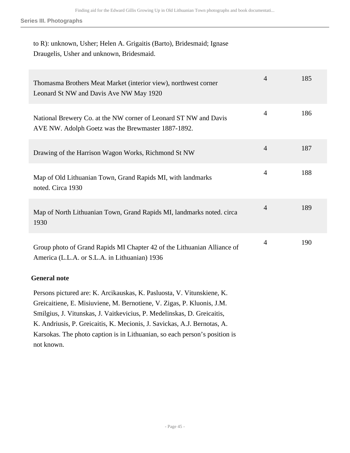## to R): unknown, Usher; Helen A. Grigaitis (Barto), Bridesmaid; Ignase Draugelis, Usher and unknown, Bridesmaid.

| Thomasma Brothers Meat Market (interior view), northwest corner<br>Leonard St NW and Davis Ave NW May 1920                             | $\overline{4}$ | 185 |
|----------------------------------------------------------------------------------------------------------------------------------------|----------------|-----|
| National Brewery Co. at the NW corner of Leonard ST NW and Davis<br>AVE NW. Adolph Goetz was the Brewmaster 1887-1892.                 | 4              | 186 |
| Drawing of the Harrison Wagon Works, Richmond St NW                                                                                    | $\overline{4}$ | 187 |
| Map of Old Lithuanian Town, Grand Rapids MI, with landmarks<br>noted. Circa 1930                                                       | $\overline{4}$ | 188 |
| Map of North Lithuanian Town, Grand Rapids MI, landmarks noted. circa<br>1930                                                          | $\overline{4}$ | 189 |
| Group photo of Grand Rapids MI Chapter 42 of the Lithuanian Alliance of<br>America (L.L.A. or S.L.A. in Lithuanian) 1936               | $\overline{4}$ | 190 |
| <b>General note</b>                                                                                                                    |                |     |
| Persons pictured are: K. Arcikauskas, K. Pasluosta, V. Vitunskiene, K.<br>Graicaitiana E Misiuviana M Barnotiana V Zigas D Kluonis I M |                |     |

Greicaitiene, E. Misiuviene, M. Bernotiene, V. Zigas, P. Kluonis, J.M. Smilgius, J. Vitunskas, J. Vaitkevicius, P. Medelinskas, D. Greicaitis, K. Andriusis, P. Greicaitis, K. Mecionis, J. Savickas, A.J. Bernotas, A. Karsokas. The photo caption is in Lithuanian, so each person's position is not known.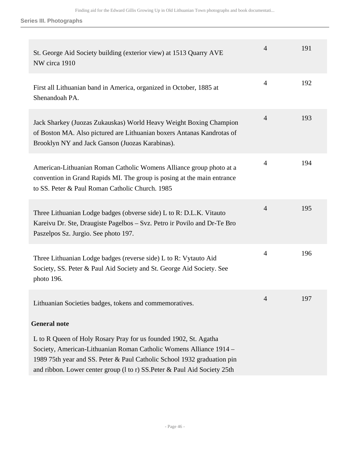| St. George Aid Society building (exterior view) at 1513 Quarry AVE<br>NW circa 1910                                                                                                                                                                                                            | $\overline{4}$ | 191 |
|------------------------------------------------------------------------------------------------------------------------------------------------------------------------------------------------------------------------------------------------------------------------------------------------|----------------|-----|
| First all Lithuanian band in America, organized in October, 1885 at<br>Shenandoah PA.                                                                                                                                                                                                          | $\overline{4}$ | 192 |
| Jack Sharkey (Juozas Zukauskas) World Heavy Weight Boxing Champion<br>of Boston MA. Also pictured are Lithuanian boxers Antanas Kandrotas of<br>Brooklyn NY and Jack Ganson (Juozas Karabinas).                                                                                                | $\overline{4}$ | 193 |
| American-Lithuanian Roman Catholic Womens Alliance group photo at a<br>convention in Grand Rapids MI. The group is posing at the main entrance<br>to SS. Peter & Paul Roman Catholic Church. 1985                                                                                              | $\overline{4}$ | 194 |
| Three Lithuanian Lodge badges (obverse side) L to R: D.L.K. Vitauto<br>Kareivu Dr. Ste, Draugiste Pagelbos – Svz. Petro ir Povilo and Dr-Te Bro<br>Paszelpos Sz. Jurgio. See photo 197.                                                                                                        | $\overline{4}$ | 195 |
| Three Lithuanian Lodge badges (reverse side) L to R: Vytauto Aid<br>Society, SS. Peter & Paul Aid Society and St. George Aid Society. See<br>photo 196.                                                                                                                                        | $\overline{4}$ | 196 |
| Lithuanian Societies badges, tokens and commemoratives.                                                                                                                                                                                                                                        | 4              | 197 |
| <b>General note</b>                                                                                                                                                                                                                                                                            |                |     |
| L to R Queen of Holy Rosary Pray for us founded 1902, St. Agatha<br>Society, American-Lithuanian Roman Catholic Womens Alliance 1914 -<br>1989 75th year and SS. Peter & Paul Catholic School 1932 graduation pin<br>and ribbon. Lower center group (1 to r) SS. Peter & Paul Aid Society 25th |                |     |